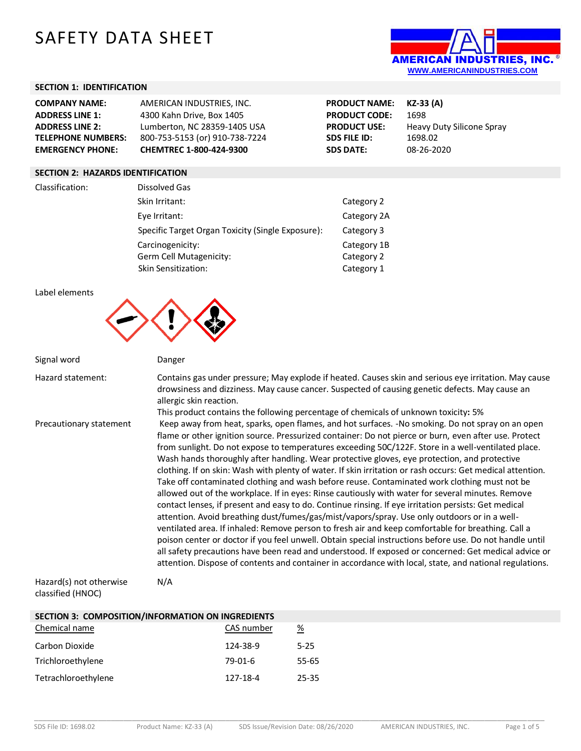# SAFETY DATA SHEET



## **SECTION 1: IDENTIFICATION**

| <b>COMPANY NAME:</b>      | AMERICAN INDUSTRIES, INC.      |
|---------------------------|--------------------------------|
| <b>ADDRESS LINE 1:</b>    | 4300 Kahn Drive, Box 1405      |
| <b>ADDRESS LINE 2:</b>    | Lumberton, NC 28359-1405 USA   |
| <b>TELEPHONE NUMBERS:</b> | 800-753-5153 (or) 910-738-7224 |
| <b>EMERGENCY PHONE:</b>   | CHEMTREC 1-800-424-9300        |

| <b>PRODUCT NAME:</b> | $KZ-33(A)$                       |
|----------------------|----------------------------------|
| <b>PRODUCT CODE:</b> | 1698                             |
| <b>PRODUCT USE:</b>  | <b>Heavy Duty Silicone Spray</b> |
| <b>SDS FILE ID:</b>  | 1698.02                          |
| <b>SDS DATE:</b>     | 08-26-2020                       |

# **SECTION 2: HAZARDS IDENTIFICATION**

| Dissolved Gas  |
|----------------|
| Skin Irritant: |
| Eve Irritant:  |
|                |

| Classification: | Dissolved Gas                                     |             |
|-----------------|---------------------------------------------------|-------------|
|                 | Skin Irritant:                                    | Category 2  |
|                 | Eye Irritant:                                     | Category 2A |
|                 | Specific Target Organ Toxicity (Single Exposure): | Category 3  |
|                 | Carcinogenicity:                                  | Category 1B |
|                 | Germ Cell Mutagenicity:                           | Category 2  |
|                 | <b>Skin Sensitization:</b>                        | Category 1  |

Label elements



| Signal word             | Danger                                                                                                                                                                                                                                                                                                                                                                                                                                                                                                                                                                                                                                                                                                                                                                                                                                                                                                                                                                                                                                                                                                                                                                                                                                                                                                                                                                         |
|-------------------------|--------------------------------------------------------------------------------------------------------------------------------------------------------------------------------------------------------------------------------------------------------------------------------------------------------------------------------------------------------------------------------------------------------------------------------------------------------------------------------------------------------------------------------------------------------------------------------------------------------------------------------------------------------------------------------------------------------------------------------------------------------------------------------------------------------------------------------------------------------------------------------------------------------------------------------------------------------------------------------------------------------------------------------------------------------------------------------------------------------------------------------------------------------------------------------------------------------------------------------------------------------------------------------------------------------------------------------------------------------------------------------|
| Hazard statement:       | Contains gas under pressure; May explode if heated. Causes skin and serious eye irritation. May cause<br>drowsiness and dizziness. May cause cancer. Suspected of causing genetic defects. May cause an<br>allergic skin reaction.<br>This product contains the following percentage of chemicals of unknown toxicity: 5%                                                                                                                                                                                                                                                                                                                                                                                                                                                                                                                                                                                                                                                                                                                                                                                                                                                                                                                                                                                                                                                      |
| Precautionary statement | Keep away from heat, sparks, open flames, and hot surfaces. -No smoking. Do not spray on an open<br>flame or other ignition source. Pressurized container: Do not pierce or burn, even after use. Protect<br>from sunlight. Do not expose to temperatures exceeding 50C/122F. Store in a well-ventilated place.<br>Wash hands thoroughly after handling. Wear protective gloves, eye protection, and protective<br>clothing. If on skin: Wash with plenty of water. If skin irritation or rash occurs: Get medical attention.<br>Take off contaminated clothing and wash before reuse. Contaminated work clothing must not be<br>allowed out of the workplace. If in eyes: Rinse cautiously with water for several minutes. Remove<br>contact lenses, if present and easy to do. Continue rinsing. If eye irritation persists: Get medical<br>attention. Avoid breathing dust/fumes/gas/mist/vapors/spray. Use only outdoors or in a well-<br>ventilated area. If inhaled: Remove person to fresh air and keep comfortable for breathing. Call a<br>poison center or doctor if you feel unwell. Obtain special instructions before use. Do not handle until<br>all safety precautions have been read and understood. If exposed or concerned: Get medical advice or<br>attention. Dispose of contents and container in accordance with local, state, and national regulations. |

#### Hazard(s) not otherwise classified (HNOC)

## **SECTION 3: COMPOSITION/INFORMATION ON INGREDIENTS**

N/A

| Chemical name       | CAS number | <u>%</u>  |
|---------------------|------------|-----------|
| Carbon Dioxide      | 124-38-9   | $5 - 25$  |
| Trichloroethylene   | 79-01-6    | 55-65     |
| Tetrachloroethylene | 127-18-4   | $25 - 35$ |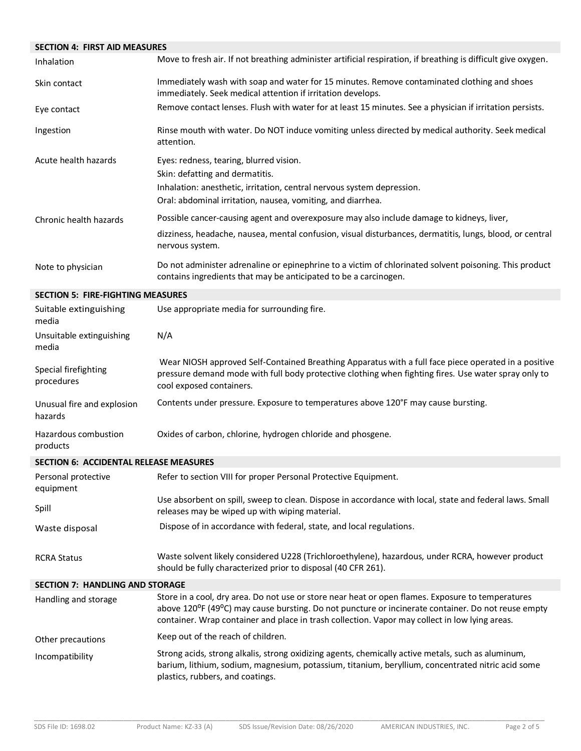| <b>SECTION 4: FIRST AID MEASURES</b>          |                                                                                                                                                                                                                                                                                                           |  |  |
|-----------------------------------------------|-----------------------------------------------------------------------------------------------------------------------------------------------------------------------------------------------------------------------------------------------------------------------------------------------------------|--|--|
| Inhalation                                    | Move to fresh air. If not breathing administer artificial respiration, if breathing is difficult give oxygen.                                                                                                                                                                                             |  |  |
| Skin contact                                  | Immediately wash with soap and water for 15 minutes. Remove contaminated clothing and shoes<br>immediately. Seek medical attention if irritation develops.                                                                                                                                                |  |  |
| Eye contact                                   | Remove contact lenses. Flush with water for at least 15 minutes. See a physician if irritation persists.                                                                                                                                                                                                  |  |  |
| Ingestion                                     | Rinse mouth with water. Do NOT induce vomiting unless directed by medical authority. Seek medical<br>attention.                                                                                                                                                                                           |  |  |
| Acute health hazards                          | Eyes: redness, tearing, blurred vision.<br>Skin: defatting and dermatitis.<br>Inhalation: anesthetic, irritation, central nervous system depression.<br>Oral: abdominal irritation, nausea, vomiting, and diarrhea.                                                                                       |  |  |
| Chronic health hazards                        | Possible cancer-causing agent and overexposure may also include damage to kidneys, liver,                                                                                                                                                                                                                 |  |  |
|                                               | dizziness, headache, nausea, mental confusion, visual disturbances, dermatitis, lungs, blood, or central<br>nervous system.                                                                                                                                                                               |  |  |
| Note to physician                             | Do not administer adrenaline or epinephrine to a victim of chlorinated solvent poisoning. This product<br>contains ingredients that may be anticipated to be a carcinogen.                                                                                                                                |  |  |
| <b>SECTION 5: FIRE-FIGHTING MEASURES</b>      |                                                                                                                                                                                                                                                                                                           |  |  |
| Suitable extinguishing<br>media               | Use appropriate media for surrounding fire.                                                                                                                                                                                                                                                               |  |  |
| Unsuitable extinguishing<br>media             | N/A                                                                                                                                                                                                                                                                                                       |  |  |
| Special firefighting<br>procedures            | Wear NIOSH approved Self-Contained Breathing Apparatus with a full face piece operated in a positive<br>pressure demand mode with full body protective clothing when fighting fires. Use water spray only to<br>cool exposed containers.                                                                  |  |  |
| Unusual fire and explosion<br>hazards         | Contents under pressure. Exposure to temperatures above 120°F may cause bursting.                                                                                                                                                                                                                         |  |  |
| Hazardous combustion<br>products              | Oxides of carbon, chlorine, hydrogen chloride and phosgene.                                                                                                                                                                                                                                               |  |  |
| <b>SECTION 6: ACCIDENTAL RELEASE MEASURES</b> |                                                                                                                                                                                                                                                                                                           |  |  |
| Personal protective<br>equipment              | Refer to section VIII for proper Personal Protective Equipment.                                                                                                                                                                                                                                           |  |  |
| Spill                                         | Use absorbent on spill, sweep to clean. Dispose in accordance with local, state and federal laws. Small<br>releases may be wiped up with wiping material.                                                                                                                                                 |  |  |
| Waste disposal                                | Dispose of in accordance with federal, state, and local regulations.                                                                                                                                                                                                                                      |  |  |
| <b>RCRA Status</b>                            | Waste solvent likely considered U228 (Trichloroethylene), hazardous, under RCRA, however product<br>should be fully characterized prior to disposal (40 CFR 261).                                                                                                                                         |  |  |
| <b>SECTION 7: HANDLING AND STORAGE</b>        |                                                                                                                                                                                                                                                                                                           |  |  |
| Handling and storage                          | Store in a cool, dry area. Do not use or store near heat or open flames. Exposure to temperatures<br>above 120°F (49°C) may cause bursting. Do not puncture or incinerate container. Do not reuse empty<br>container. Wrap container and place in trash collection. Vapor may collect in low lying areas. |  |  |
| Other precautions                             | Keep out of the reach of children.                                                                                                                                                                                                                                                                        |  |  |
| Incompatibility                               | Strong acids, strong alkalis, strong oxidizing agents, chemically active metals, such as aluminum,<br>barium, lithium, sodium, magnesium, potassium, titanium, beryllium, concentrated nitric acid some<br>plastics, rubbers, and coatings.                                                               |  |  |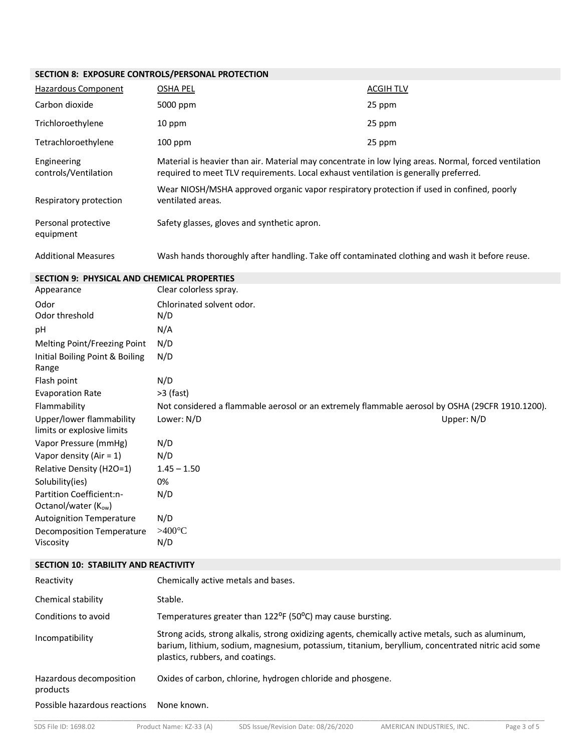## **SECTION 8: EXPOSURE CONTROLS/PERSONAL PROTECTION**

| Hazardous Component                 | <b>OSHA PEL</b>                                                                                                                                                                               | <b>ACGIH TLV</b> |
|-------------------------------------|-----------------------------------------------------------------------------------------------------------------------------------------------------------------------------------------------|------------------|
| Carbon dioxide                      | 5000 ppm                                                                                                                                                                                      | 25 ppm           |
| Trichloroethylene                   | 10 ppm                                                                                                                                                                                        | 25 ppm           |
| Tetrachloroethylene                 | $100$ ppm                                                                                                                                                                                     | 25 ppm           |
| Engineering<br>controls/Ventilation | Material is heavier than air. Material may concentrate in low lying areas. Normal, forced ventilation<br>required to meet TLV requirements. Local exhaust ventilation is generally preferred. |                  |
| Respiratory protection              | Wear NIOSH/MSHA approved organic vapor respiratory protection if used in confined, poorly<br>ventilated areas.                                                                                |                  |
| Personal protective<br>equipment    | Safety glasses, gloves and synthetic apron.                                                                                                                                                   |                  |
| <b>Additional Measures</b>          | Wash hands thoroughly after handling. Take off contaminated clothing and wash it before reuse.                                                                                                |                  |

#### **SECTION 9: PHYSICAL AND CHEMICAL PROPERTIES**

| Appearance                                             | Clear colorless spray.                                                                          |            |
|--------------------------------------------------------|-------------------------------------------------------------------------------------------------|------------|
| Odor                                                   | Chlorinated solvent odor.                                                                       |            |
| Odor threshold                                         | N/D                                                                                             |            |
| рH                                                     | N/A                                                                                             |            |
| Melting Point/Freezing Point                           | N/D                                                                                             |            |
| Initial Boiling Point & Boiling<br>Range               | N/D                                                                                             |            |
| Flash point                                            | N/D                                                                                             |            |
| <b>Evaporation Rate</b>                                | $>3$ (fast)                                                                                     |            |
| Flammability                                           | Not considered a flammable aerosol or an extremely flammable aerosol by OSHA (29CFR 1910.1200). |            |
| Upper/lower flammability<br>limits or explosive limits | Lower: N/D                                                                                      | Upper: N/D |
| Vapor Pressure (mmHg)                                  | N/D                                                                                             |            |
| Vapor density (Air = $1$ )                             | N/D                                                                                             |            |
| Relative Density (H2O=1)                               | $1.45 - 1.50$                                                                                   |            |
| Solubility(ies)                                        | 0%                                                                                              |            |
| Partition Coefficient:n-<br>Octanol/water (Kow)        | N/D                                                                                             |            |
| <b>Autoignition Temperature</b>                        | N/D                                                                                             |            |
| Decomposition Temperature                              | $>400^{\circ}$ C                                                                                |            |
| Viscosity                                              | N/D                                                                                             |            |

### **SECTION 10: STABILITY AND REACTIVITY**

| Reactivity                          | Chemically active metals and bases.                                                                                                                                                                                                         |
|-------------------------------------|---------------------------------------------------------------------------------------------------------------------------------------------------------------------------------------------------------------------------------------------|
| Chemical stability                  | Stable.                                                                                                                                                                                                                                     |
| Conditions to avoid                 | Temperatures greater than 122°F (50°C) may cause bursting.                                                                                                                                                                                  |
| Incompatibility                     | Strong acids, strong alkalis, strong oxidizing agents, chemically active metals, such as aluminum,<br>barium, lithium, sodium, magnesium, potassium, titanium, beryllium, concentrated nitric acid some<br>plastics, rubbers, and coatings. |
| Hazardous decomposition<br>products | Oxides of carbon, chlorine, hydrogen chloride and phosgene.                                                                                                                                                                                 |
| Possible hazardous reactions        | None known.                                                                                                                                                                                                                                 |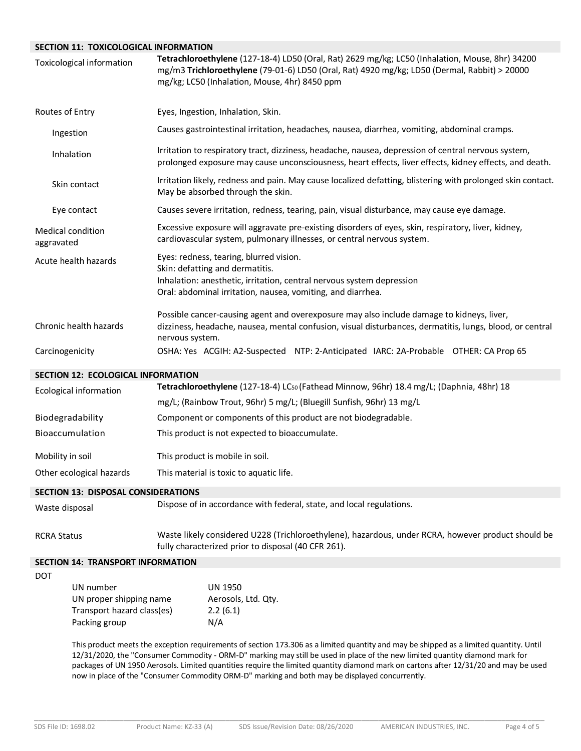# **SECTION 11: TOXICOLOGICAL INFORMATION**

| Toxicological information                   | Tetrachloroethylene (127-18-4) LD50 (Oral, Rat) 2629 mg/kg; LC50 (Inhalation, Mouse, 8hr) 34200<br>mg/m3 Trichloroethylene (79-01-6) LD50 (Oral, Rat) 4920 mg/kg; LD50 (Dermal, Rabbit) > 20000<br>mg/kg; LC50 (Inhalation, Mouse, 4hr) 8450 ppm                       |
|---------------------------------------------|------------------------------------------------------------------------------------------------------------------------------------------------------------------------------------------------------------------------------------------------------------------------|
| Routes of Entry                             | Eyes, Ingestion, Inhalation, Skin.                                                                                                                                                                                                                                     |
| Ingestion                                   | Causes gastrointestinal irritation, headaches, nausea, diarrhea, vomiting, abdominal cramps.                                                                                                                                                                           |
| Inhalation                                  | Irritation to respiratory tract, dizziness, headache, nausea, depression of central nervous system,<br>prolonged exposure may cause unconsciousness, heart effects, liver effects, kidney effects, and death.                                                          |
| Skin contact                                | Irritation likely, redness and pain. May cause localized defatting, blistering with prolonged skin contact.<br>May be absorbed through the skin.                                                                                                                       |
| Eye contact                                 | Causes severe irritation, redness, tearing, pain, visual disturbance, may cause eye damage.                                                                                                                                                                            |
| <b>Medical condition</b><br>aggravated      | Excessive exposure will aggravate pre-existing disorders of eyes, skin, respiratory, liver, kidney,<br>cardiovascular system, pulmonary illnesses, or central nervous system.                                                                                          |
| Acute health hazards                        | Eyes: redness, tearing, blurred vision.<br>Skin: defatting and dermatitis.<br>Inhalation: anesthetic, irritation, central nervous system depression<br>Oral: abdominal irritation, nausea, vomiting, and diarrhea.                                                     |
| Chronic health hazards                      | Possible cancer-causing agent and overexposure may also include damage to kidneys, liver,<br>dizziness, headache, nausea, mental confusion, visual disturbances, dermatitis, lungs, blood, or central<br>nervous system.                                               |
| Carcinogenicity                             | OSHA: Yes ACGIH: A2-Suspected NTP: 2-Anticipated IARC: 2A-Probable OTHER: CA Prop 65                                                                                                                                                                                   |
| SECTION 12: ECOLOGICAL INFORMATION          |                                                                                                                                                                                                                                                                        |
| <b>Ecological information</b>               | Tetrachloroethylene (127-18-4) LCso (Fathead Minnow, 96hr) 18.4 mg/L; (Daphnia, 48hr) 18                                                                                                                                                                               |
|                                             | mg/L; (Rainbow Trout, 96hr) 5 mg/L; (Bluegill Sunfish, 96hr) 13 mg/L                                                                                                                                                                                                   |
| Biodegradability                            | Component or components of this product are not biodegradable.                                                                                                                                                                                                         |
| Bioaccumulation                             | This product is not expected to bioaccumulate.                                                                                                                                                                                                                         |
| Mobility in soil                            | This product is mobile in soil.                                                                                                                                                                                                                                        |
| Other ecological hazards                    | This material is toxic to aquatic life.                                                                                                                                                                                                                                |
| <b>SECTION 13: DISPOSAL CONSIDERATIONS</b>  |                                                                                                                                                                                                                                                                        |
| Waste disposal                              | Dispose of in accordance with federal, state, and local regulations.                                                                                                                                                                                                   |
| <b>RCRA Status</b>                          | Waste likely considered U228 (Trichloroethylene), hazardous, under RCRA, however product should be<br>fully characterized prior to disposal (40 CFR 261).                                                                                                              |
| <b>SECTION 14: TRANSPORT INFORMATION</b>    |                                                                                                                                                                                                                                                                        |
| <b>DOT</b>                                  |                                                                                                                                                                                                                                                                        |
| UN number<br>UN proper shipping name        | <b>UN 1950</b><br>Aerosols, Ltd. Qty.                                                                                                                                                                                                                                  |
| Transport hazard class(es)<br>Packing group | 2.2(6.1)<br>N/A                                                                                                                                                                                                                                                        |
|                                             | This product meets the exception requirements of section 173.306 as a limited quantity and may be shipped as a limited quantity. Until<br>12/31/2020, the "Consumer Commodity - ORM-D" marking may still be used in place of the new limited quantity diamond mark for |

12/31/2020, the "Consumer Commodity - ORM-D" marking may still be used in place of the new limited quantity diamond mark for packages of UN 1950 Aerosols. Limited quantities require the limited quantity diamond mark on cartons after 12/31/20 and may be used now in place of the "Consumer Commodity ORM-D" marking and both may be displayed concurrently.